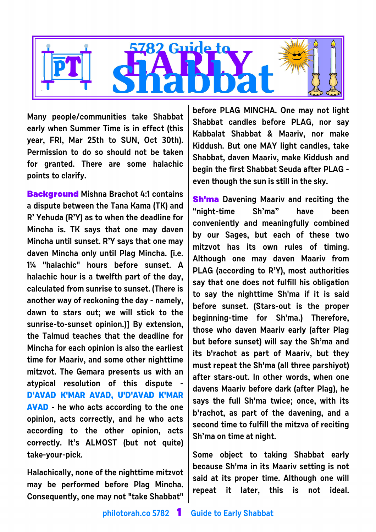

**Many people/communities take Shabbat early when Summer Time is in effect (this year, FRI, Mar 25th to SUN, Oct 30th). Permission to do so should not be taken for granted. There are some halachic points to clarify.**

**Background Mishna Brachot 4:1 contains a dispute between the Tana Kama (TK) and R' Yehuda (R'Y) as to when the deadline for Mincha is. TK says that one may daven Mincha until sunset. R'Y says that one may daven Mincha only until Plag Mincha. [i.e. 1¼ "halachic" hours before sunset. A halachic hour is a twelfth part of the day, calculated from sunrise to sunset. (There is another way of reckoning the day - namely, dawn to stars out; we will stick to the sunrise-to-sunset opinion.)] By extension, the Talmud teaches that the deadline for Mincha for each opinion is also the earliest time for Maariv, and some other nighttime mitzvot. The Gemara presents us with an atypical resolution of this dispute - D'AVAD K'MAR AVAD, U'D'AVAD K'MAR AVAD - he who acts according to the one opinion, acts correctly, and he who acts according to the other opinion, acts correctly. It's ALMOST (but not quite) take-your-pick.** 

**Halachically, none of the nighttime mitzvot may be performed before Plag Mincha. Consequently, one may not "take Shabbat"**

**before PLAG MINCHA. One may not light Shabbat candles before PLAG, nor say Kabbalat Shabbat & Maariv, nor make Kiddush. But one MAY light candles, take Shabbat, daven Maariv, make Kiddush and begin the first Shabbat Seuda after PLAG even though the sun is still in the sky.**

**Sh'ma Davening Maariv and reciting the "night-time Sh'ma" have been conveniently and meaningfully combined by our Sages, but each of these two mitzvot has its own rules of timing. Although one may daven Maariv from PLAG (according to R'Y), most authorities say that one does not fulfill his obligation to say the nighttime Sh'ma if it is said before sunset. (Stars-out is the proper beginning-time for Sh'ma.) Therefore, those who daven Maariv early (after Plag but before sunset) will say the Sh'ma and its b'rachot as part of Maariv, but they must repeat the Sh'ma (all three parshiyot) after stars-out. In other words, when one davens Maariv before dark (after Plag), he says the full Sh'ma twice; once, with its b'rachot, as part of the davening, and a second time to fulfill the mitzva of reciting Sh'ma on time at night.**

**Some object to taking Shabbat early because Sh'ma in its Maariv setting is not said at its proper time. Although one will repeat it later, this is not ideal.**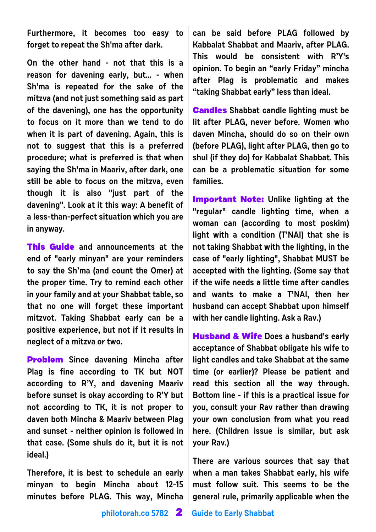**Furthermore, it becomes too easy to forget to repeat the Sh'ma after dark.**

**On the other hand - not that this is a reason for davening early, but... - when Sh'ma is repeated for the sake of the mitzva (and not just something said as part of the davening), one has the opportunity to focus on it more than we tend to do when it is part of davening. Again, this is not to suggest that this is a preferred procedure; what is preferred is that when saying the Sh'ma in Maariv, after dark, one still be able to focus on the mitzva, even though it is also "just part of the davening". Look at it this way: A benefit of a less-than-perfect situation which you are in anyway.**

**This Guide and announcements at the end of "early minyan" are your reminders to say the Sh'ma (and count the Omer) at the proper time. Try to remind each other in your family and at your Shabbat table, so that no one will forget these important mitzvot. Taking Shabbat early can be a positive experience, but not if it results in neglect of a mitzva or two.** 

**Problem Since davening Mincha after Plag is fine according to TK but NOT according to R'Y, and davening Maariv before sunset is okay according to R'Y but not according to TK, it is not proper to daven both Mincha & Maariv between Plag and sunset - neither opinion is followed in that case. (Some shuls do it, but it is not ideal.)**

**Therefore, it is best to schedule an early minyan to begin Mincha about 12-15 minutes before PLAG. This way, Mincha**

**can be said before PLAG followed by Kabbalat Shabbat and Maariv, after PLAG. This would be consistent with R'Y's opinion. To begin an "early Friday" mincha after Plag is problematic and makes "taking Shabbat early" less than ideal.**

**Candles Shabbat candle lighting must be lit after PLAG, never before. Women who daven Mincha, should do so on their own (before PLAG), light after PLAG, then go to shul (if they do) for Kabbalat Shabbat. This can be a problematic situation for some families.** 

**Important Note: Unlike lighting at the "regular" candle lighting time, when a woman can (according to most poskim) light with a condition (T'NAI) that she is not taking Shabbat with the lighting, in the case of "early lighting", Shabbat MUST be accepted with the lighting. (Some say that if the wife needs a little time after candles and wants to make a T'NAI, then her husband can accept Shabbat upon himself with her candle lighting. Ask a Rav.)**

**Husband & Wife Does a husband's early acceptance of Shabbat obligate his wife to light candles and take Shabbat at the same time (or earlier)? Please be patient and read this section all the way through. Bottom line - if this is a practical issue for you, consult your Rav rather than drawing your own conclusion from what you read here. (Children issue is similar, but ask your Rav.)**

**There are various sources that say that when a man takes Shabbat early, his wife must follow suit. This seems to be the general rule, primarily applicable when the**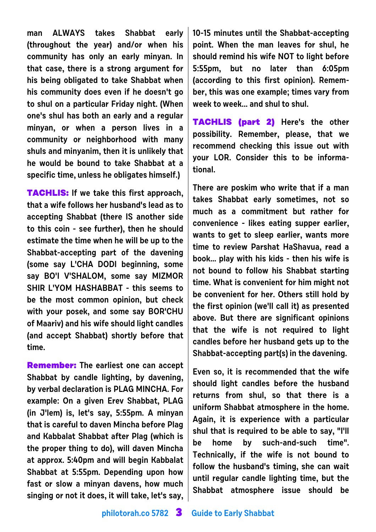**man ALWAYS takes Shabbat early (throughout the year) and/or when his community has only an early minyan. In that case, there is a strong argument for his being obligated to take Shabbat when his community does even if he doesn't go to shul on a particular Friday night. (When one's shul has both an early and a regular minyan, or when a person lives in a community or neighborhood with many shuls and minyanim, then it is unlikely that he would be bound to take Shabbat at a specific time, unless he obligates himself.)** 

**TACHLIS: If we take this first approach, that a wife follows her husband's lead as to accepting Shabbat (there IS another side to this coin - see further), then he should estimate the time when he will be up to the Shabbat-accepting part of the davening (some say L'CHA DODI beginning, some say BO'I V'SHALOM, some say MIZMOR SHIR L'YOM HASHABBAT - this seems to be the most common opinion, but check with your posek, and some say BOR'CHU of Maariv) and his wife should light candles (and accept Shabbat) shortly before that time.**

**Remember: The earliest one can accept Shabbat by candle lighting, by davening, by verbal declaration is PLAG MINCHA. For example: On a given Erev Shabbat, PLAG (in J'lem) is, let's say, 5:55pm. A minyan that is careful to daven Mincha before Plag and Kabbalat Shabbat after Plag (which is the proper thing to do), will daven Mincha at approx. 5:40pm and will begin Kabbalat Shabbat at 5:55pm. Depending upon how fast or slow a minyan davens, how much singing or not it does, it will take, let's say,**

**10-15 minutes until the Shabbat-accepting point. When the man leaves for shul, he should remind his wife NOT to light before 5:55pm, but no later than 6:05pm (according to this first opinion). Remember, this was one example; times vary from week to week... and shul to shul.**

**TACHLIS (part 2) Here's the other possibility. Remember, please, that we recommend checking this issue out with your LOR. Consider this to be informational.**

**There are poskim who write that if a man takes Shabbat early sometimes, not so much as a commitment but rather for convenience - likes eating supper earlier, wants to get to sleep earlier, wants more time to review Parshat HaShavua, read a book... play with his kids - then his wife is not bound to follow his Shabbat starting time. What is convenient for him might not be convenient for her. Others still hold by the first opinion (we'll call it) as presented above. But there are significant opinions that the wife is not required to light candles before her husband gets up to the Shabbat-accepting part(s) in the davening.** 

**Even so, it is recommended that the wife should light candles before the husband returns from shul, so that there is a uniform Shabbat atmosphere in the home. Again, it is experience with a particular shul that is required to be able to say, "I'll be home by such-and-such time". Technically, if the wife is not bound to follow the husband's timing, she can wait until regular candle lighting time, but the Shabbat atmosphere issue should be**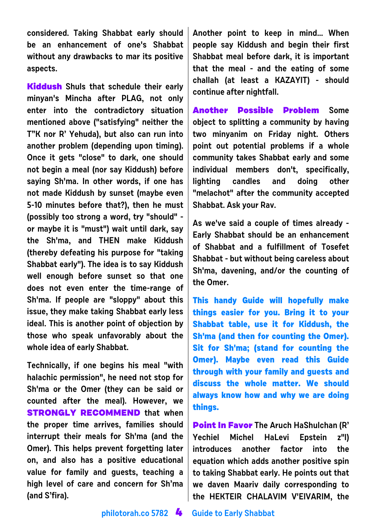**considered. Taking Shabbat early should be an enhancement of one's Shabbat without any drawbacks to mar its positive aspects.**

**Kiddush Shuls that schedule their early minyan's Mincha after PLAG, not only enter into the contradictory situation mentioned above ("satisfying" neither the T"K nor R' Yehuda), but also can run into another problem (depending upon timing). Once it gets "close" to dark, one should not begin a meal (nor say Kiddush) before saying Sh'ma. In other words, if one has not made Kiddush by sunset (maybe even 5-10 minutes before that?), then he must (possibly too strong a word, try "should" or maybe it is "must") wait until dark, say the Sh'ma, and THEN make Kiddush (thereby defeating his purpose for "taking Shabbat early"). The idea is to say Kiddush well enough before sunset so that one does not even enter the time-range of Sh'ma. If people are "sloppy" about this issue, they make taking Shabbat early less ideal. This is another point of objection by those who speak unfavorably about the whole idea of early Shabbat.**

**Technically, if one begins his meal "with halachic permission", he need not stop for Sh'ma or the Omer (they can be said or counted after the meal). However, we STRONGLY RECOMMEND that when the proper time arrives, families should interrupt their meals for Sh'ma (and the Omer). This helps prevent forgetting later on, and also has a positive educational value for family and guests, teaching a high level of care and concern for Sh'ma (and S'fira).**

**Another point to keep in mind... When people say Kiddush and begin their first Shabbat meal before dark, it is important that the meal - and the eating of some challah (at least a KAZAYIT) - should continue after nightfall.**

**Another Possible Problem Some object to splitting a community by having two minyanim on Friday night. Others point out potential problems if a whole community takes Shabbat early and some individual members don't, specifically, lighting candles and doing other "melachot" after the community accepted Shabbat. Ask your Rav.**

**As we've said a couple of times already - Early Shabbat should be an enhancement of Shabbat and a fulfillment of Tosefet Shabbat - but without being careless about Sh'ma, davening, and/or the counting of the Omer.**

**This handy Guide will hopefully make things easier for you. Bring it to your Shabbat table, use it for Kiddush, the Sh'ma (and then for counting the Omer). Sit for Sh'ma; (stand for counting the Omer). Maybe even read this Guide through with your family and guests and discuss the whole matter. We should always know how and why we are doing things.**

**Point In Favor The Aruch HaShulchan (R' Yechiel Michel HaLevi Epstein z"l) introduces another factor into the equation which adds another positive spin to taking Shabbat early. He points out that we daven Maariv daily corresponding to the HEKTEIR CHALAVIM V'EIVARIM, the**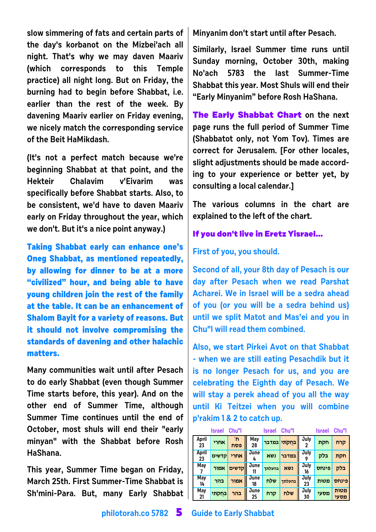**slow simmering of fats and certain parts of the day's korbanot on the Mizbei'ach all night. That's why we may daven Maariv (which corresponds to this Temple practice) all night long. But on Friday, the burning had to begin before Shabbat, i.e. earlier than the rest of the week. By davening Maariv earlier on Friday evening, we nicely match the corresponding service of the Beit HaMikdash.** 

**(It's not a perfect match because we're beginning Shabbat at that point, and the Hekteir Chalavim v'Eivarim was specifically before Shabbat starts. Also, to be consistent, we'd have to daven Maariv early on Friday throughout the year, which we don't. But it's a nice point anyway.)**

**Taking Shabbat early can enhance one's Oneg Shabbat, as mentioned repeatedly, by allowing for dinner to be at a more "civilized" hour, and being able to have young children join the rest of the family at the table. It can be an enhancement of Shalom Bayit for a variety of reasons. But it should not involve compromising the standards of davening and other halachic matters.**

**Many communities wait until after Pesach to do early Shabbat (even though Summer Time starts before, this year). And on the other end of Summer Time, although Summer Time continues until the end of October, most shuls will end their "early minyan" with the Shabbat before Rosh HaShana.** 

**This year, Summer Time began on Friday, March 25th. First Summer-Time Shabbat is Sh'mini-Para. But, many Early Shabbat** **Minyanim don't start until after Pesach.**

**Similarly, Israel Summer time runs until Sunday morning, October 30th, making No'ach 5783 the last Summer-Time Shabbat this year. Most Shuls will end their "Early Minyanim" before Rosh HaShana.**

**The Early Shabbat Chart on the next page runs the full period of Summer Time (Shabbatot only, not Yom Tov). Times are correct for Jerusalem. [For other locales, slight adjustments should be made according to your experience or better yet, by consulting a local calendar.]** 

**The various columns in the chart are explained to the left of the chart.**

## **If you don't live in Eretz Yisrael...**

### **First of you, you should.**

**Second of all, your 8th day of Pesach is our day after Pesach when we read Parshat Acharei. We in Israel will be a sedra ahead of you (or you will be a sedra behind us) until we split Matot and Mas'ei and you in Chu"l will read them combined.**

**Also, we start Pirkei Avot on that Shabbat - when we are still eating Pesachdik but it is no longer Pesach for us, and you are celebrating the Eighth day of Pesach. We will stay a perek ahead of you all the way until Ki Teitzei when you will combine p'rakim 1 & 2 to catch up.**

|                  | Israel | Chu"l     |            | Israel | Chu"l                    |            | Israel | Chu"l        |
|------------------|--------|-----------|------------|--------|--------------------------|------------|--------|--------------|
| April<br>23      | אחרי   | 'n<br>פסח | May<br>28  |        | בחקתי <mark>במדבר</mark> | July       | חקת    | קרח          |
| April<br>23      | קדשים  | אחרי      | June<br>4  | נשא    | במדבר <sup> </sup>       | July       | בלק    | חקת          |
| <b>May</b>       | אמור   | קדשים     | June       | בהעלתך | נשא                      | July<br>16 | פינחס  | בלק          |
| <b>May</b><br>14 | בהר    | אמור      | June<br>18 | שלח    | בהעלתך                   | July<br>23 | מטות   | פינחס        |
| May<br>21        | בחקתי  | בהר       | June<br>25 | קרח    | שלח                      | July<br>30 | מסעי   | מטות<br>מסעי |

**philotorah.co 5782 5 Guide to Early Shabbat**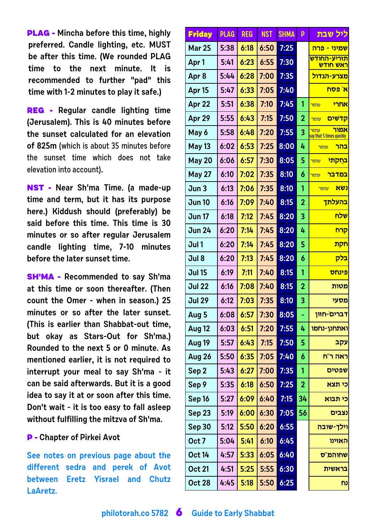**PLAG - Mincha before this time, highly preferred. Candle lighting, etc. MUST be after this time. (We rounded PLAG time to the next minute. It is recommended to further "pad" this time with 1-2 minutes to play it safe.)**

**REG - Regular candle lighting time (Jerusalem). This is 40 minutes before the sunset calculated for an elevation of 825m** (which is about 35 minutes before the sunset time which does not take elevation into account)**.**

**NST - Near Sh'ma Time. (a made-up time and term, but it has its purpose here.) Kiddush should (preferably) be said before this time. This time is 30 minutes or so after regular Jerusalem candle lighting time, 7-10 minutes before the later sunset time.**

**SH'MA - Recommended to say Sh'ma at this time or soon thereafter. (Then count the Omer - when in season.) 25 minutes or so after the later sunset. (This is earlier than Shabbat-out time, but okay as Stars-Out for Sh'ma.) Rounded to the next 5 or 0 minute. As mentioned earlier, it is not required to interrupt your meal to say Sh'ma - it can be said afterwards. But it is a good idea to say it at or soon after this time. Don't wait - it is too easy to fall asleep without fulfilling the mitzva of Sh'ma.**

#### **P - Chapter of Pirkei Avot**

**See notes on previous page about the different sedra and perek of Avot between Eretz Yisrael and Chutz LaAretz.**

| <b>Friday</b>     | <b>PLAG</b> | <b>REG</b> | <b>NST</b> | <b>SHMA</b> | p              | <u>ליל שבת</u>                                        |
|-------------------|-------------|------------|------------|-------------|----------------|-------------------------------------------------------|
| <b>Mar 25</b>     | 5:38        | 6:18       | 6:50       | 7:25        |                | <u>שמיני - פרה</u>                                    |
| Apr <sub>1</sub>  | 5:41        | 6:23       | 6:55       | 7:30        |                | <u>תזריע-החודש</u><br>ראש חודש                        |
| Apr <sub>8</sub>  | 5:44        | 6:28       | 7:00       | 7:35        |                | <u>מצרע-הגדול</u>                                     |
| Apr <sub>15</sub> | 5:47        | 6:33       | 7:05       | 7:40        |                | א' פסח                                                |
| Apr 22            | 5:51        | 6:38       | 7:10       | 7:45        | 1              | אחרי<br><mark>עומר</mark>                             |
| Apr 29            | 5:55        | 6:43       | 7:15       | 7:50        | $\overline{2}$ | <u>קדשים</u><br><mark>עומר</mark>                     |
| May 6             | 5:58        | 6:48       | 7:20       | 7:55        | 3              | אמור<br><mark>עומר</mark><br>say that 5 times quickly |
| <b>May 13</b>     | 6:02        | 6:53       | 7:25       | 8:00        | 4              | בהר<br>עומר                                           |
| <b>May 20</b>     | 6:06        | 6:57       | 7:30       | 8:05        | 5              | <mark>בחקתי</mark><br><mark>עומר</mark>               |
| <b>May 27</b>     | 6:10        | 7:02       | 7:35       | 8:10        | 6              | <u>במדבר</u><br>עומר                                  |
| Jun 3             | 6:13        | 7:06       | 7:35       | 8:10        | 1              | נשא<br><mark>עומר</mark>                              |
| <b>Jun 10</b>     | 6:16        | 7:09       | 7:40       | 8:15        | $\overline{2}$ | <mark>בהעלתך</mark>                                   |
| <b>Jun 17</b>     | 6:18        | 7:12       | 7:45       | 8:20        | 3              | שלח                                                   |
| <b>Jun 24</b>     | 6:20        | 7:14       | 7:45       | 8:20        | 4              | קרח                                                   |
| Jul 1             | 6:20        | 7:14       | 7:45       | 8:20        | 5              | חקת                                                   |
| Jul 8             | 6:20        | 7:13       | 7:45       | 8:20        | 6              | בלק                                                   |
| <b>Jul 15</b>     | 6:19        | 7:11       | 7:40       | 8:15        | 1              | פינחס                                                 |
| <b>Jul 22</b>     | 6:16        | 7:08       | 7:40       | 8:15        | $\overline{2}$ | מטות                                                  |
| <b>Jul 29</b>     | 6:12        | 7:03       | 7:35       | 8:10        | 3              | מסעי                                                  |
| Aug <sub>5</sub>  | 6:08        | 6:57       | 7:30       | 8:05        |                | דברים-חזון                                            |
| Aug 12            | 6:03        | 6:51       | 7:20       | 7:55        | 4              | ואתחנן-נחמו                                           |
| Aug 19            | 5:57        | 6:43       | 7:15       | 7:50        | 5              | עקב                                                   |
| <b>Aug 26</b>     | 5:50        | 6:35       | 7:05       | 7:40        | 6              | ראה ר"ח                                               |
| Sep <sub>2</sub>  | 5:43        | 6:27       | 7:00       | 7:35        | 1              | שפטים                                                 |
| Sep 9             | 5:35        | 6:18       | 6:50       | 7:25        | $\overline{2}$ | כי תצא                                                |
| Sep 16            | 5:27        | 6:09       | 6:40       | 7:15        | 34             | כי תבוא                                               |
| <b>Sep 23</b>     | 5:19        | 6:00       | 6:30       | 7:05        | 56             | נצבים                                                 |
| <b>Sep 30</b>     | 5:12        | 5:50       | 6:20       | 6:55        |                | וילך-שובה                                             |
| Oct 7             | 5:04        | 5:41       | 6:10       | 6:45        |                | האזינו                                                |
| <b>Oct 14</b>     | 4:57        | 5:33       | 6:05       | 6:40        |                | שחוהמ"ס                                               |
| <b>Oct 21</b>     | 4:51        | 5:25       | 5:55       | 6:30        |                | בראשית                                                |
| <b>Oct 28</b>     | 4:45        | 5:18       | 5:50       | 6:25        |                | נח                                                    |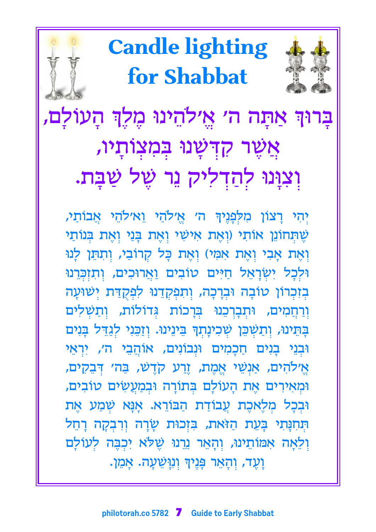

יִהִי רַצוֹן מִלְפָּנֵיךְּ ה׳ אֵ׳לֹהַי וֵא׳לֹהֵי אֲבוֹתַי, שֵׁתְּחוֹנֵן אוֹתִי (וְאֶת אִישִׁי וְאֵת בָּנֵי וְאֵת בִּנוֹתַי וְאֶת אָבִי וְאֶת אִמִּי) וְאֶת כָּל קְרוֹבֵי, וְתְהֵן לְנוּ וּלִכָל יִשְׂרָאֵל חַיִּים טוֹבִים וַאֲרוּכִים, וְתִזְכְּרֵנוּ בְזִכְרוֹן טוֹבָה וּבְרָכָה, וְתִפְקָדֵנוּ לִפְקֻדַּת יְשׁוּעָה וְרַחֲמִים, וּתְבְרְכֵנוּ בְּרָכוֹת גְּדוֹלוֹת, וְתַשְׁלִים בָּחֵינוּ, וְתַשְׁכֵּן שְׁכִינָתְךָּ בֵינֵינוּ. וְזַכֵּנִי לְגַדֵּל בָּנִים וּבִנֵי בָנִים חַכָּמִים וּנִבוֹנִים, אוֹהֲבֵי ה׳, יִרְאֵי אֵ׳לֹהִים, אַנְשֵׁי אֵמֵת, זֵרַע קֹדֵשׁ, בַּה׳ דְּבֵקִים, וּמְאִירִים אֶת הָעוֹלָם בִּתוֹרָה וּבִמַעֲשִׂים טוֹבִים, וּבִכָּל מִלֶאכֶת עֲבוֹדַת הַבּוֹרֵא. אָנָּא שִׁמַע אֶת הִנְחִנָּתִי בָּעֵת הַזֹּאת, בִּזְכוּת שָׂרָה וִרְבִקָה רָחֵל וִלְאָה אִמּוֹתֵינוּ, וְהָאֵר נֵרְנוּ שֵׁלֹא יִכְבֶּה לְעוֹלָם וָעֶד, וִהָאֵר פָּנֶיךָּ וְנִיְשֵׁעָה. אָמֵן.

בְרוּךְ אַתְּה ה׳ אֱ׳לֹהֵינוּ מֶלֶךְ הָעוֹלָם, אֲשֶׁר קִדְּשָׁנוּ בִּמְצְוֹתָיו, וִצְוָּנוּ לִהַדִלִיק נֵר שֶׁל שַׁבָּת.

for Shabbat



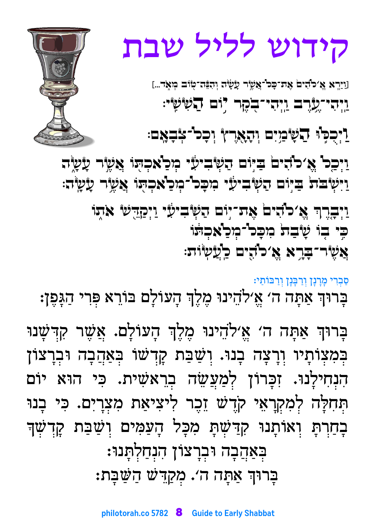# ּבְּאַהֲבָה וּבְרָצוֹן הִנְחַלְתָּנוּ: בְּרוּךְ אַתָּה ה׳. מְקַדֵּשׁׁ הַשַּׁבְּת:

בָּרוּךְ אַתָּה ה׳ אֱ׳לֹדֵינוּ מֶלֶךְ הָעוֹלָם. אֲשֶׁר קִדְשָׁנוּ בְּמִצְוֹתְיוּ וְרָצָה בְנוּ. וְשַׁבַּת קָדְשׁוֹ בְּאַהֲבָה וּבְרָצוֹן הִנְחִילְנוּ. זִכְּרוֹן לְמַעֲשֵׂה בְרֵאשִׁית. כִּי הוּא יוֹם הְּחִלָּה לְמִקְרָאֵי קֹדֶשׁ זֵכֶר לִיצִיאַת מִצְרָיִם. כִּי בָנוּ ּבְחַרְתָּ וְאוֹתְנוּ קִדַּשְׁתָּ מִכְּל הְעַמִּים וְשַׁבַּת קָדְשָׁךָ

ּסַבְרִי מְרָנְן וְרַבְּנָן וְרַבּוֹתַי: בְּרוּךְ אַתְּה ה׳ אֱ׳לֹהֵינוּ מֶלֶךְ הְעוֹלָם בּוֹרֵא פִּרִי הַגָּפֶן:

וַיְבְרֶךְ אֵ׳כֹּהים אֶת־יִּיִם הַשְּׂביעֵّי וַיְקַדֵּשׁ אֹתִוּ כִּי בָוֹ שָׁבַתֹּ מִכְּל־מְכַאֲכְתֹּוֹ אֲשֶׂר־בִּרָא אֱ כֹּהִים כַוְעַשְׂוּת:

וַיְכָר אֱ׳לֹדִים בַיִּוֹם הַשְׂבִיעָל מְכַאֲכְהָו אֲשֶׂר עָשָׂה וַיִּטְיֹבֹת בַיָּוֹם הַשְּׁבִיעַי מִכָּכוֹ-מְכַאֲכְהָוּ אֲשֶׂיָר עָשָיֹה:

<u>וַיְכִּ</u>כְּוּ הַעָּיֹכְיִם וְהָאָרֶץ וְכָל־אָבָאָם:

[וַיַּרְא אֱ׳כ'הִים אֶת־כָּכ'-אֲשֶׂר עָשָׂה וְהִבָּה־טִוּב מְאָד...] <u>וַיְהִי־עֲרֶם וְיְהִי־הָקָ</u>ר לִוּם הַעִּיּעִיּ:

קידוש לליל שבת

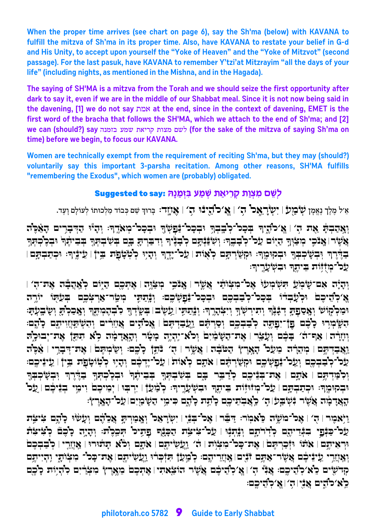**When the proper time arrives (see chart on page 6), say the Sh'ma (below) with KAVANA to fulfill the mitzva of Sh'ma in its proper time. Also, have KAVANA to restate your belief in G-d and His Unity, to accept upon yourself the "Yoke of Heaven" and the "Yoke of Mitzvot" (second passage). For the last pasuk, have KAVANA to remember Y'tzi'at Mitzrayim "all the days of your life" (including nights, as mentioned in the Mishna, and in the Hagada).**

**The saying of SH'MA is a mitzva from the Torah and we should seize the first opportunity after dark to say it, even if we are in the middle of our Shabbat meal. Since it is not now being said in the davening, [1] we do not say** zn` **at the end, since in the context of davening, EMET is the first word of the bracha that follows the SH'MA, which we attach to the end of Sh'ma; and [2] we can (should?) say** dpnfa rny z`ixw zevn myl **(for the sake of the mitzva of saying Sh'ma on time) before we begin, to focus our KAVANA.**

**Women are technically exempt from the requirement of reciting Sh'ma, but they may (should?) voluntarily say this important 3-parsha recitation. Among other reasons, SH'MA fulfills "remembering the Exodus", which women are (probably) obligated.**

# **Suggested to say: D¨pn©f§A¦ rn©W§ z`©ix¦ w§ ze©v§ n¦ mW¥§l**

.<br>אֵ׳ל מֵלֵךְ נֵאֵמֶן לִעֲ בַּוְעַ | יִעְעֲרֵאֵם 'הָ׳ | אֱ`ס'הֲיֶבּוּ 'הָ׳ | אֲוֹוָה: בְּרוּךְ שֵׁם כִּבוּד מַלְכוּתוּ לְעוֹלָם וָעֵד.

 $\mathcal{L}^{\infty}$ יְאֲפִרְ $\mathcal{L}^{\infty}$  אֶת הָ` | אֱ`כ $\mathcal{L}^{\infty}$ בְּרֶ $\mathcal{L}^{\infty}$ וְ $\mathcal{L}^{\infty}$ הָ  $\mathcal{L}^{\infty}$ יִבְּהֲהָ $\mathcal{L}^{\infty}$ ה אָשֶׁר אַבּבי מִצְּוּךָ הַיִּם עַל־לְבָבֶר: וְשִׂנִּּיִּתָם לְבָבֶּיִה וְדִבְרְתָּ בָם בְּשִׂבְתִּךָ בְּבִיתֶר | הַדֶּּיֶרְהִ וּבְשָׂיְבְבָדָ וּבְקוּמֶה: וּקִשַּׂיְהַנֶם כְאָוֹת | עֵכ<sup>ד</sup>יָדֶה וְהָיִוּ לְטְטָבְת בְיןֹ | עֵינֶיךָ: וּכְתַבְתָם לֵכ<sup>ד-</sup>מִיִّדוֹת בִיתֵךְ וּבִשְׁעֲרֵיךִ:

 $\pm$ יהוֹם אַם־שָׁכְּיַע הִשְׂכְוּעוֹּ אֵכ־בִי אֲשֶׂר וּ אֲנֹכֵי בִיצְוֶה | אֶתִכֶם הַיִּוֹם כְאֲהַבָּה אַת־הָ ھ∕دية ج∂ية بغير بغويو بذه بغود بغود بغدا توري فقرية مارتي جئو بين جيم الديو چريو بين جي יִמִּ לְקוֹּשׂי וְאָסַפְתָּ דְבְּנֶّךְ וְיִיִרְשְׂוּךָ וְיִ≠ְהָרֶךְ: וְבָּנִי וְעֵשָׂיִבְ וּשָׁיִךְ לִבְהֶמְתֶךְ וְאָכִלְתָּ וְשָׂבְעָתִּ הֹשֶׂמְרִיּ כָלֶם פון יִפַתֵּה לִבְבִכֶם וְסַרִתֵּם וַעֲבָדִתֵּם | אֵכוֹדֶים אֲזֶוְרִים וִהְשִׁתַּזֶוִיתֵם כָוֶם: ַּוְעָרָה | אַף־הֹ׳ בָּכֶם וְעָבֵׂר | אֶת־הַשָּׁמַ֫יִם וְכֹא־יִהְיֶה כִעֹּך וְהָאֲדָמָה כְא תִהֵן אֶת־יִבוּכָוֶ  $\mathbb{E}[\mathbf{X}=\mathbf{P}^T$ יַאֲבִדְתֵּם | מִתְרָׂ־ה מֵעַל" הַמֹּבֶׁי | אֱעֹלֶה | הָ׳ בְּתֵי׃ וְשָׂיֹתְמָם | אֶת־דְּבָרֵי | אֶכֶּיֹ :של־לִבַּבִּכֵח וְעָל־נַבְלֵיכֵח וּקִשַׂרְתֵּם | אַתֲם לְאוֹת | עַל־יֵדְכֵח וְהָיִוּ לְטְוֹטָבַת בֵי† | עֵינֵיכֵם  $F$ יִכְפֹּזִיתֵּם | אָת־בִּנִּיכֵם כְזַיבֵר בָם בִּשִׁבְתִּךְ בִּבִילֵתְ יִבְכָלְתִּךְ בְדֵּרֵךְ יְבִשָׂיֹכִבְרָ וּבְקוּמֶד: וּכְתַבְתֶם | עַל־מְוֹדְוֹת בֵיתֶךְ וּבִשְׁעָרֶיךָ: לְמַעַןٌ | יִרְבִּוּ | יְמֵיכֶם וְימֵי בְנִיכֶם | עַל הַאֲדָמָה אֲשֶׂר נִשְׁבַעׂ। הָ׳ כְאֲבִתֵיכֶם כְּתֵת כְוָתֶם כִּימֵי הַשָּׂמַיִם עַל־הָאֶרֶץ:

 $I$ יַ $I$ אמֶר | הָ $\ell$  אֱכ $I$ כוֹ $\mathbb{R}$ ל בָּבֶּר  $\mathbb{R}$ ר | אֱכ $\mathbb{Z}$ יבֶּר | יִשְׂרַאֶכ $\mathbb{Z}$  וָאֲמַרִתַּ אֲכֶ $\mathbb{Z}$ ה בְּ $\mathbb{Z}$ ת  $\tilde{\mathcal{L}}$ עַל־כַּנָּפוֹ בִּגְדֵיהֵם לְדִוֹתֶם וְנֵהְנֶוּ | עַל־צִיצֶת הַכָּנֶף פַתֵּיל הִכֵּלֵת: וְהָיָה כָ<sup>ו</sup>ֹכֶם לִצִיצִת ּוּרָאִיתֵם∫ אֹתוֹ וּזָכַרִתֵּםׂ | אֶת־כָּכ<sup>ו-</sup>מִצְוֹת | הֹ׳ וַעֵשִׂיתֵם | אֹתֵם וִכ<sup>ו</sup>ֹא תַתֹּוּרוּ | אֲזַזֵרִי | כְ<sup>ו</sup>בַבִּכֵם יְאֲעֲדֵי עֵיבֵיּכֶם אֲשֶׂר־אַתֶּם דֹּנָים। אֲעֲזֵרִיהֵם: כִ<sup>וֹ</sup>מַעַדָ תִּדִּיתָם אַת־כַּכ<sup>וֹ</sup> מִצִּיתַי וַהִיִיתֵם הּדֹעָים כֵּא קֹהֵיכֵם: אֲנִיי הָ | אֵ קֹהֵיכֵם אֲעֵיר הוֹצֵאתִי | אֶתִכֶם מֵאֲרֵץ מִצְרַיִם קֹהִיִוּת כָּבֵם  $\mathbb{E}[\mathbf{z}^{\star}]$ כּוֹדֶים אֲנְיוּה) שוֹ